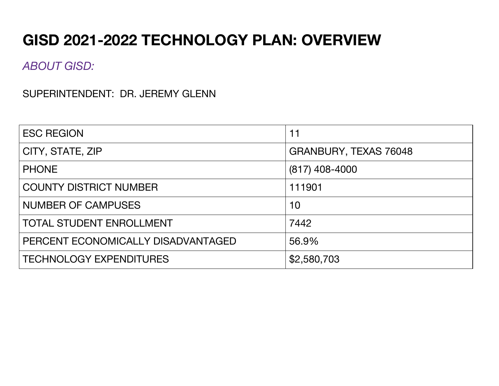# **GISD 2021-2022 TECHNOLOGY PLAN: OVERVIEW**

*ABOUT GISD:*

SUPERINTENDENT: DR. JEREMY GLENN

| <b>ESC REGION</b>                  | 11                    |
|------------------------------------|-----------------------|
| CITY, STATE, ZIP                   | GRANBURY, TEXAS 76048 |
| <b>PHONE</b>                       | $(817)$ 408-4000      |
| <b>COUNTY DISTRICT NUMBER</b>      | 111901                |
| <b>NUMBER OF CAMPUSES</b>          | 10                    |
| <b>TOTAL STUDENT ENROLLMENT</b>    | 7442                  |
| PERCENT ECONOMICALLY DISADVANTAGED | 56.9%                 |
| <b>TECHNOLOGY EXPENDITURES</b>     | \$2,580,703           |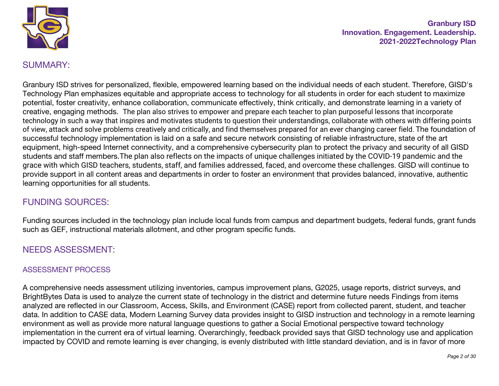

# SUMMARY:

Granbury ISD strives for personalized, flexible, empowered learning based on the individual needs of each student. Therefore, GISD's Technology Plan emphasizes equitable and appropriate access to technology for all students in order for each student to maximize potential, foster creativity, enhance collaboration, communicate effectively, think critically, and demonstrate learning in a variety of creative, engaging methods. The plan also strives to empower and prepare each teacher to plan purposeful lessons that incorporate technology in such a way that inspires and motivates students to question their understandings, collaborate with others with differing points of view, attack and solve problems creatively and critically, and find themselves prepared for an ever changing career field. The foundation of successful technology implementation is laid on a safe and secure network consisting of reliable infrastructure, state of the art equipment, high-speed Internet connectivity, and a comprehensive cybersecurity plan to protect the privacy and security of all GISD students and staff members.The plan also reflects on the impacts of unique challenges initiated by the COVID-19 pandemic and the grace with which GISD teachers, students, staff, and families addressed, faced, and overcome these challenges. GISD will continue to provide support in all content areas and departments in order to foster an environment that provides balanced, innovative, authentic learning opportunities for all students.

# FUNDING SOURCES:

Funding sources included in the technology plan include local funds from campus and department budgets, federal funds, grant funds such as GEF, instructional materials allotment, and other program specific funds.

# NEEDS ASSESSMENT:

#### ASSESSMENT PROCESS

A comprehensive needs assessment utilizing inventories, campus improvement plans, G2025, usage reports, district surveys, and BrightBytes Data is used to analyze the current state of technology in the district and determine future needs Findings from items analyzed are reflected in our Classroom, Access, Skills, and Environment (CASE) report from collected parent, student, and teacher data. In addition to CASE data, Modern Learning Survey data provides insight to GISD instruction and technology in a remote learning environment as well as provide more natural language questions to gather a Social Emotional perspective toward technology implementation in the current era of virtual learning. Overarchingly, feedback provided says that GISD technology use and application impacted by COVID and remote learning is ever changing, is evenly distributed with little standard deviation, and is in favor of more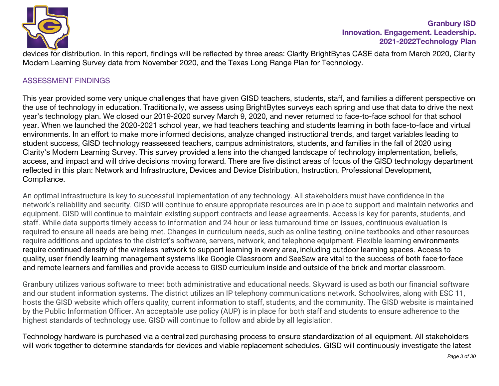

devices for distribution. In this report, findings will be reflected by three areas: Clarity BrightBytes CASE data from March 2020, Clarity Modern Learning Survey data from November 2020, and the Texas Long Range Plan for Technology.

#### ASSESSMENT FINDINGS

This year provided some very unique challenges that have given GISD teachers, students, staff, and families a different perspective on the use of technology in education. Traditionally, we assess using BrightBytes surveys each spring and use that data to drive the next year's technology plan. We closed our 2019-2020 survey March 9, 2020, and never returned to face-to-face school for that school year. When we launched the 2020-2021 school year, we had teachers teaching and students learning in both face-to-face and virtual environments. In an effort to make more informed decisions, analyze changed instructional trends, and target variables leading to student success, GISD technology reassessed teachers, campus administrators, students, and families in the fall of 2020 using Clarity's Modern Learning Survey. This survey provided a lens into the changed landscape of technology implementation, beliefs, access, and impact and will drive decisions moving forward. There are five distinct areas of focus of the GISD technology department reflected in this plan: Network and Infrastructure, Devices and Device Distribution, Instruction, Professional Development, Compliance.

An optimal infrastructure is key to successful implementation of any technology. All stakeholders must have confidence in the network's reliability and security. GISD will continue to ensure appropriate resources are in place to support and maintain networks and equipment. GISD will continue to maintain existing support contracts and lease agreements. Access is key for parents, students, and staff. While data supports timely access to information and 24 hour or less turnaround time on issues, continuous evaluation is required to ensure all needs are being met. Changes in curriculum needs, such as online testing, online textbooks and other resources require additions and updates to the district's software, servers, network, and telephone equipment. Flexible learning environments require continued density of the wireless network to support learning in every area, including outdoor learning spaces. Access to quality, user friendly learning management systems like Google Classroom and SeeSaw are vital to the success of both face-to-face and remote learners and families and provide access to GISD curriculum inside and outside of the brick and mortar classroom.

Granbury utilizes various software to meet both administrative and educational needs. Skyward is used as both our financial software and our student information systems. The district utilizes an IP telephony communications network. Schoolwires, along with ESC 11, hosts the GISD website which offers quality, current information to staff, students, and the community. The GISD website is maintained by the Public Information Officer. An acceptable use policy (AUP) is in place for both staff and students to ensure adherence to the highest standards of technology use. GISD will continue to follow and abide by all legislation.

Technology hardware is purchased via a centralized purchasing process to ensure standardization of all equipment. All stakeholders will work together to determine standards for devices and viable replacement schedules. GISD will continuously investigate the latest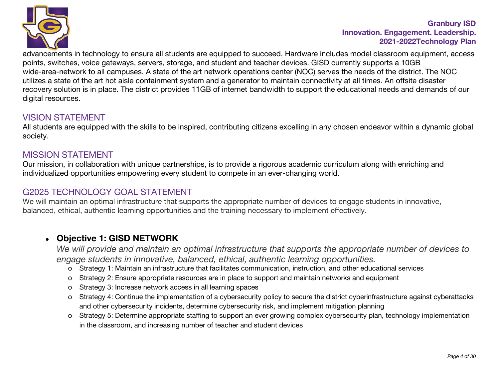

advancements in technology to ensure all students are equipped to succeed. Hardware includes model classroom equipment, access points, switches, voice gateways, servers, storage, and student and teacher devices. GISD currently supports a 10GB wide-area-network to all campuses. A state of the art network operations center (NOC) serves the needs of the district. The NOC utilizes a state of the art hot aisle containment system and a generator to maintain connectivity at all times. An offsite disaster recovery solution is in place. The district provides 11GB of internet bandwidth to support the educational needs and demands of our digital resources.

## VISION STATEMENT

All students are equipped with the skills to be inspired, contributing citizens excelling in any chosen endeavor within a dynamic global society.

#### MISSION STATEMENT

Our mission, in collaboration with unique partnerships, is to provide a rigorous academic curriculum along with enriching and individualized opportunities empowering every student to compete in an ever-changing world.

# G2025 TECHNOLOGY GOAL STATEMENT

We will maintain an optimal infrastructure that supports the appropriate number of devices to engage students in innovative, balanced, ethical, authentic learning opportunities and the training necessary to implement effectively.

# ● **Objective 1: GISD NETWORK**

*We will provide and maintain an optimal infrastructure that supports the appropriate number of devices to engage students in innovative, balanced, ethical, authentic learning opportunities.*

- o Strategy 1: Maintain an infrastructure that facilitates communication, instruction, and other educational services
- o Strategy 2: Ensure appropriate resources are in place to support and maintain networks and equipment
- o Strategy 3: Increase network access in all learning spaces
- o Strategy 4: Continue the implementation of a cybersecurity policy to secure the district cyberinfrastructure against cyberattacks and other cybersecurity incidents, determine cybersecurity risk, and implement mitigation planning
- o Strategy 5: Determine appropriate staffing to support an ever growing complex cybersecurity plan, technology implementation in the classroom, and increasing number of teacher and student devices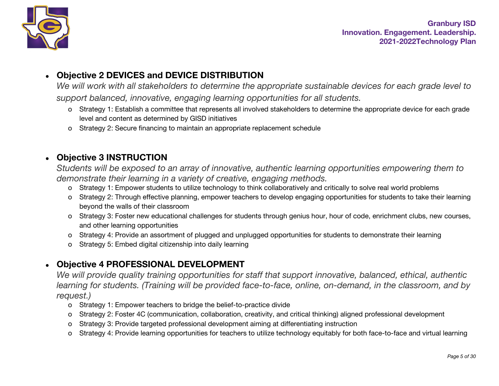

# ● **Objective 2 DEVICES and DEVICE DISTRIBUTION**

We will work with all stakeholders to determine the appropriate sustainable devices for each grade level to *support balanced, innovative, engaging learning opportunities for all students.*

- o Strategy 1: Establish a committee that represents all involved stakeholders to determine the appropriate device for each grade level and content as determined by GISD initiatives
- o Strategy 2: Secure financing to maintain an appropriate replacement schedule

# ● **Objective 3 INSTRUCTION**

*Students will be exposed to an array of innovative, authentic learning opportunities empowering them to demonstrate their learning in a variety of creative, engaging methods.*

- o Strategy 1: Empower students to utilize technology to think collaboratively and critically to solve real world problems
- o Strategy 2: Through effective planning, empower teachers to develop engaging opportunities for students to take their learning beyond the walls of their classroom
- o Strategy 3: Foster new educational challenges for students through genius hour, hour of code, enrichment clubs, new courses, and other learning opportunities
- o Strategy 4: Provide an assortment of plugged and unplugged opportunities for students to demonstrate their learning
- o Strategy 5: Embed digital citizenship into daily learning

# ● **Objective 4 PROFESSIONAL DEVELOPMENT**

*We will provide quality training opportunities for staff that support innovative, balanced, ethical, authentic learning for students. (Training will be provided face-to-face, online, on-demand, in the classroom, and by request.)*

- o Strategy 1: Empower teachers to bridge the belief-to-practice divide
- o Strategy 2: Foster 4C (communication, collaboration, creativity, and critical thinking) aligned professional development
- o Strategy 3: Provide targeted professional development aiming at differentiating instruction
- o Strategy 4: Provide learning opportunities for teachers to utilize technology equitably for both face-to-face and virtual learning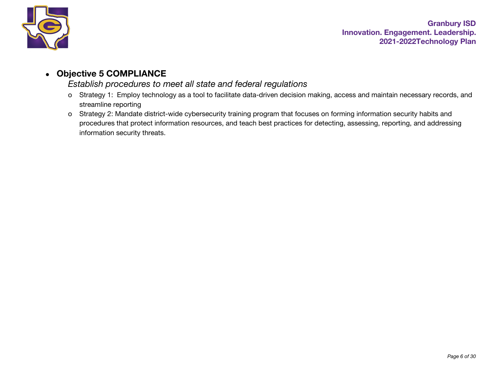

# ● **Objective 5 COMPLIANCE**

#### *Establish procedures to meet all state and federal regulations*

- o Strategy 1: Employ technology as a tool to facilitate data-driven decision making, access and maintain necessary records, and streamline reporting
- o Strategy 2: Mandate district-wide cybersecurity training program that focuses on forming information security habits and procedures that protect information resources, and teach best practices for detecting, assessing, reporting, and addressing information security threats.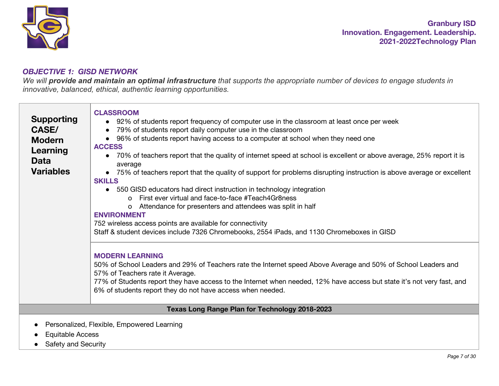

#### *OBJECTIVE 1: GISD NETWORK*

*We will provide and maintain an optimal infrastructure that supports the appropriate number of devices to engage students in innovative, balanced, ethical, authentic learning opportunities.*

| <b>Supporting</b><br><b>CASE/</b><br><b>Modern</b><br>Learning<br><b>Data</b><br><b>Variables</b> | <b>CLASSROOM</b><br>• 92% of students report frequency of computer use in the classroom at least once per week<br>79% of students report daily computer use in the classroom<br>96% of students report having access to a computer at school when they need one<br><b>ACCESS</b><br>70% of teachers report that the quality of internet speed at school is excellent or above average, 25% report it is<br>average<br>• 75% of teachers report that the quality of support for problems disrupting instruction is above average or excellent<br><b>SKILLS</b><br>• 550 GISD educators had direct instruction in technology integration<br>o First ever virtual and face-to-face #Teach4Gr8ness<br>o Attendance for presenters and attendees was split in half<br><b>ENVIRONMENT</b><br>752 wireless access points are available for connectivity<br>Staff & student devices include 7326 Chromebooks, 2554 iPads, and 1130 Chromeboxes in GISD<br><b>MODERN LEARNING</b><br>50% of School Leaders and 29% of Teachers rate the Internet speed Above Average and 50% of School Leaders and<br>57% of Teachers rate it Average. |
|---------------------------------------------------------------------------------------------------|-------------------------------------------------------------------------------------------------------------------------------------------------------------------------------------------------------------------------------------------------------------------------------------------------------------------------------------------------------------------------------------------------------------------------------------------------------------------------------------------------------------------------------------------------------------------------------------------------------------------------------------------------------------------------------------------------------------------------------------------------------------------------------------------------------------------------------------------------------------------------------------------------------------------------------------------------------------------------------------------------------------------------------------------------------------------------------------------------------------------------------|
|                                                                                                   | 77% of Students report they have access to the Internet when needed, 12% have access but state it's not very fast, and<br>6% of students report they do not have access when needed.                                                                                                                                                                                                                                                                                                                                                                                                                                                                                                                                                                                                                                                                                                                                                                                                                                                                                                                                          |
|                                                                                                   | Texas Long Range Plan for Technology 2018-2023                                                                                                                                                                                                                                                                                                                                                                                                                                                                                                                                                                                                                                                                                                                                                                                                                                                                                                                                                                                                                                                                                |
| <b>Equitable Access</b><br>$\bullet$                                                              | Personalized, Flexible, Empowered Learning                                                                                                                                                                                                                                                                                                                                                                                                                                                                                                                                                                                                                                                                                                                                                                                                                                                                                                                                                                                                                                                                                    |

• Safety and Security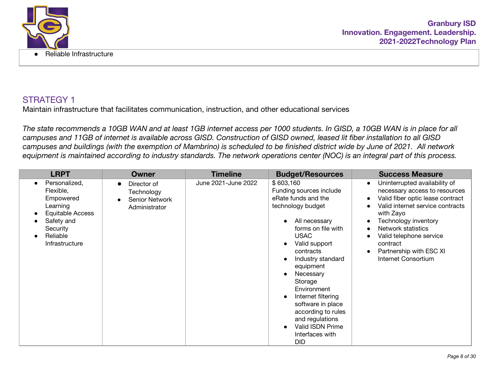

Maintain infrastructure that facilitates communication, instruction, and other educational services

*The state recommends a 10GB WAN and at least 1GB internet access per 1000 students. In GISD, a 10GB WAN is in place for all campuses and 11GB of internet is available across GISD. Construction of GISD owned, leased lit fiber installation to all GISD campuses and buildings (with the exemption of Mambrino) is scheduled to be finished district wide by June of 2021. All network equipment is maintained according to industry standards. The network operations center (NOC) is an integral part of this process.*

| <b>LRPT</b>                                                                                                                                  | <b>Owner</b>                                                        | <b>Timeline</b>     | <b>Budget/Resources</b>                                                                                                                                                                                                                                                                                                                                                                             | <b>Success Measure</b>                                                                                                                                                                                                                                                                                               |
|----------------------------------------------------------------------------------------------------------------------------------------------|---------------------------------------------------------------------|---------------------|-----------------------------------------------------------------------------------------------------------------------------------------------------------------------------------------------------------------------------------------------------------------------------------------------------------------------------------------------------------------------------------------------------|----------------------------------------------------------------------------------------------------------------------------------------------------------------------------------------------------------------------------------------------------------------------------------------------------------------------|
| Personalized,<br>$\bullet$<br>Flexible,<br>Empowered<br>Learning<br>Equitable Access<br>Safety and<br>Security<br>Reliable<br>Infrastructure | Director of<br>Technology<br><b>Senior Network</b><br>Administrator | June 2021-June 2022 | \$603,160<br>Funding sources include<br>eRate funds and the<br>technology budget<br>All necessary<br>forms on file with<br><b>USAC</b><br>Valid support<br>contracts<br>Industry standard<br>equipment<br>Necessary<br>Storage<br>Environment<br>Internet filtering<br>$\bullet$<br>software in place<br>according to rules<br>and regulations<br>Valid ISDN Prime<br>Interfaces with<br><b>DID</b> | Uninterrupted availability of<br>$\bullet$<br>necessary access to resources<br>Valid fiber optic lease contract<br>$\bullet$<br>Valid internet service contracts<br>with Zayo<br>Technology inventory<br>Network statistics<br>Valid telephone service<br>contract<br>Partnership with ESC XI<br>Internet Consortium |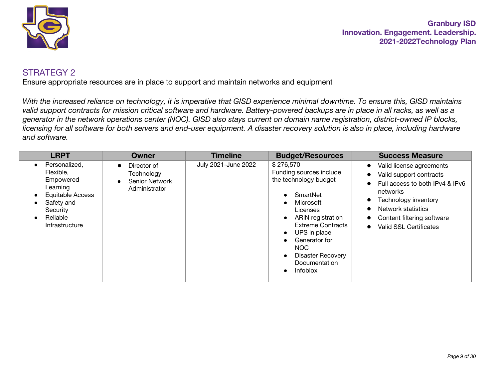

Ensure appropriate resources are in place to support and maintain networks and equipment

*With the increased reliance on technology, it is imperative that GISD experience minimal downtime. To ensure this, GISD maintains valid support contracts for mission critical software and hardware. Battery-powered backups are in place in all racks, as well as a generator in the network operations center (NOC). GISD also stays current on domain name registration, district-owned IP blocks, licensing for all software for both servers and end-user equipment. A disaster recovery solution is also in place, including hardware and software.*

| <b>LRPT</b>                                                                                                                                                                         | Owner                                                               | <b>Timeline</b>     | <b>Budget/Resources</b>                                                                                                                                                                                                                                             | <b>Success Measure</b>                                                                                                                                                                                                                                                                              |
|-------------------------------------------------------------------------------------------------------------------------------------------------------------------------------------|---------------------------------------------------------------------|---------------------|---------------------------------------------------------------------------------------------------------------------------------------------------------------------------------------------------------------------------------------------------------------------|-----------------------------------------------------------------------------------------------------------------------------------------------------------------------------------------------------------------------------------------------------------------------------------------------------|
| Personalized,<br>$\bullet$<br>Flexible,<br>Empowered<br>Learning<br>Equitable Access<br>$\bullet$<br>Safety and<br>$\bullet$<br>Security<br>Reliable<br>$\bullet$<br>Infrastructure | Director of<br>Technology<br><b>Senior Network</b><br>Administrator | July 2021-June 2022 | \$276,570<br>Funding sources include<br>the technology budget<br>SmartNet<br>Microsoft<br><b>Licenses</b><br>ARIN registration<br><b>Extreme Contracts</b><br>UPS in place<br>Generator for<br>NOC.<br><b>Disaster Recovery</b><br>Documentation<br><b>Infoblox</b> | Valid license agreements<br>$\bullet$<br>Valid support contracts<br>$\bullet$<br>Full access to both IPv4 & IPv6<br>$\bullet$<br>networks<br>Technology inventory<br>$\bullet$<br>Network statistics<br>$\bullet$<br>Content filtering software<br>$\bullet$<br>Valid SSL Certificates<br>$\bullet$ |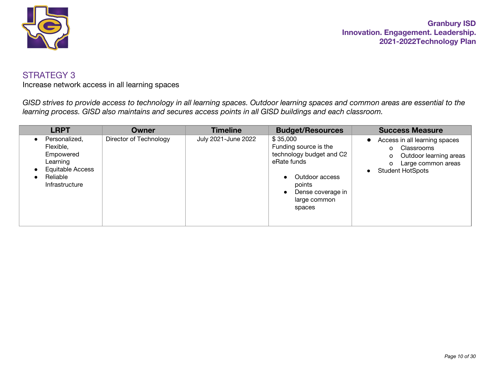

Increase network access in all learning spaces

*GISD strives to provide access to technology in all learning spaces. Outdoor learning spaces and common areas are essential to the learning process. GISD also maintains and secures access points in all GISD buildings and each classroom.*

| <b>LRPT</b>                                                                                                  | Owner                  | <b>Timeline</b>     | <b>Budget/Resources</b>                                                                                                                                 | <b>Success Measure</b>                                                                                                                             |
|--------------------------------------------------------------------------------------------------------------|------------------------|---------------------|---------------------------------------------------------------------------------------------------------------------------------------------------------|----------------------------------------------------------------------------------------------------------------------------------------------------|
| Personalized,<br>Flexible,<br>Empowered<br>Learning<br><b>Equitable Access</b><br>Reliable<br>Infrastructure | Director of Technology | July 2021-June 2022 | \$35,000<br>Funding source is the<br>technology budget and C2<br>eRate funds<br>Outdoor access<br>points<br>Dense coverage in<br>large common<br>spaces | Access in all learning spaces<br>$\bullet$<br>Classrooms<br>O<br>Outdoor learning areas<br>o<br>Large common areas<br>o<br><b>Student HotSpots</b> |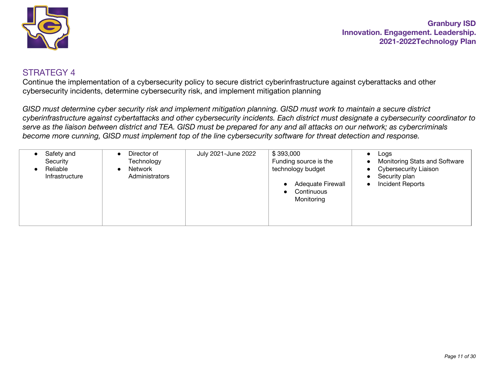

Continue the implementation of a cybersecurity policy to secure district cyberinfrastructure against cyberattacks and other cybersecurity incidents, determine cybersecurity risk, and implement mitigation planning

*GISD must determine cyber security risk and implement mitigation planning. GISD must work to maintain a secure district cyberinfrastructure against cybertattacks and other cybersecurity incidents. Each district must designate a cybersecurity coordinator to serve as the liaison between district and TEA. GISD must be prepared for any and all attacks on our network; as cybercriminals become more cunning, GISD must implement top of the line cybersecurity software for threat detection and response.*

| Safety and<br>Director of<br>Security<br>Technology<br>Reliable<br>Network<br>Administrators<br>Infrastructure | \$393,000<br>July 2021-June 2022<br>Funding source is the<br>technology budget<br><b>Adequate Firewall</b><br>Continuous<br>Monitoring | Logs<br>$\bullet$<br>Monitoring Stats and Software<br>$\bullet$<br><b>Cybersecurity Liaison</b><br>$\bullet$<br>Security plan<br><b>Incident Reports</b> |
|----------------------------------------------------------------------------------------------------------------|----------------------------------------------------------------------------------------------------------------------------------------|----------------------------------------------------------------------------------------------------------------------------------------------------------|
|----------------------------------------------------------------------------------------------------------------|----------------------------------------------------------------------------------------------------------------------------------------|----------------------------------------------------------------------------------------------------------------------------------------------------------|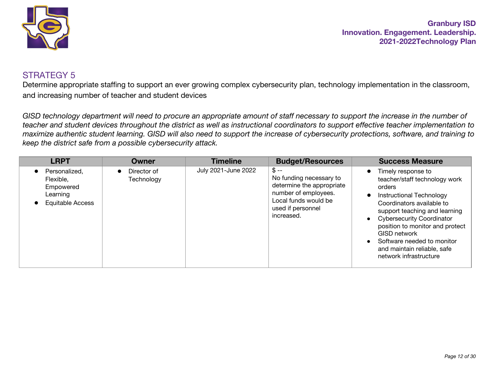

#### STRATEGY 5

Determine appropriate staffing to support an ever growing complex cybersecurity plan, technology implementation in the classroom, and increasing number of teacher and student devices

*GISD technology department will need to procure an appropriate amount of staff necessary to support the increase in the number of teacher and student devices throughout the district as well as instructional coordinators to support effective teacher implementation to maximize authentic student learning. GISD will also need to support the increase of cybersecurity protections, software, and training to keep the district safe from a possible cybersecurity attack.*

| <b>LRPT</b>                                                             | Owner                     | <b>Timeline</b>     | <b>Budget/Resources</b>                                                                                                                            | <b>Success Measure</b>                                                                                                                                                                                                                                                                                                                                    |
|-------------------------------------------------------------------------|---------------------------|---------------------|----------------------------------------------------------------------------------------------------------------------------------------------------|-----------------------------------------------------------------------------------------------------------------------------------------------------------------------------------------------------------------------------------------------------------------------------------------------------------------------------------------------------------|
| Personalized,<br>Flexible,<br>Empowered<br>Learning<br>Equitable Access | Director of<br>Technology | July 2021-June 2022 | $$ - -$<br>No funding necessary to<br>determine the appropriate<br>number of employees.<br>Local funds would be<br>used if personnel<br>increased. | Timely response to<br>$\bullet$<br>teacher/staff technology work<br>orders<br>Instructional Technology<br>Coordinators available to<br>support teaching and learning<br><b>Cybersecurity Coordinator</b><br>position to monitor and protect<br><b>GISD network</b><br>Software needed to monitor<br>and maintain reliable, safe<br>network infrastructure |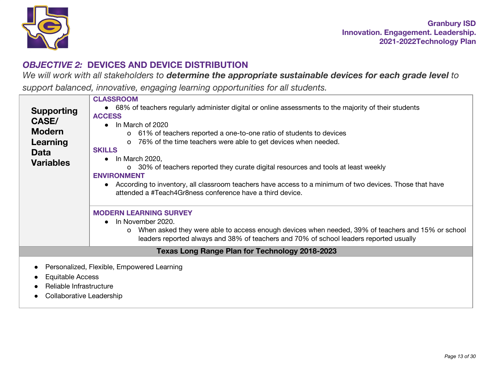

# *OBJECTIVE 2:* **DEVICES AND DEVICE DISTRIBUTION**

We will work with all stakeholders to determine the appropriate sustainable devices for each grade level to

*support balanced, innovative, engaging learning opportunities for all students.*

| <b>Supporting</b><br><b>CASE/</b><br><b>Modern</b><br>Learning<br><b>Data</b><br><b>Variables</b> | <b>CLASSROOM</b><br>• 68% of teachers regularly administer digital or online assessments to the majority of their students<br><b>ACCESS</b><br>In March of 2020<br>o 61% of teachers reported a one-to-one ratio of students to devices<br>76% of the time teachers were able to get devices when needed.<br>$\circ$<br><b>SKILLS</b><br>In March 2020,<br>o 30% of teachers reported they curate digital resources and tools at least weekly<br><b>ENVIRONMENT</b><br>According to inventory, all classroom teachers have access to a minimum of two devices. Those that have<br>attended a #Teach4Gr8ness conference have a third device.<br><b>MODERN LEARNING SURVEY</b> |
|---------------------------------------------------------------------------------------------------|------------------------------------------------------------------------------------------------------------------------------------------------------------------------------------------------------------------------------------------------------------------------------------------------------------------------------------------------------------------------------------------------------------------------------------------------------------------------------------------------------------------------------------------------------------------------------------------------------------------------------------------------------------------------------|
|                                                                                                   | In November 2020.<br>o When asked they were able to access enough devices when needed, 39% of teachers and 15% or school<br>leaders reported always and 38% of teachers and 70% of school leaders reported usually                                                                                                                                                                                                                                                                                                                                                                                                                                                           |
|                                                                                                   | <b>Texas Long Range Plan for Technology 2018-2023</b>                                                                                                                                                                                                                                                                                                                                                                                                                                                                                                                                                                                                                        |
| <b>Equitable Access</b><br>Reliable Infrastructure                                                | Personalized, Flexible, Empowered Learning                                                                                                                                                                                                                                                                                                                                                                                                                                                                                                                                                                                                                                   |

● Collaborative Leadership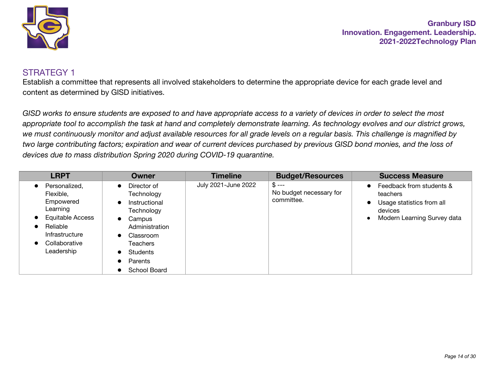

#### STRATEGY 1

Establish a committee that represents all involved stakeholders to determine the appropriate device for each grade level and content as determined by GISD initiatives.

*GISD works to ensure students are exposed to and have appropriate access to a variety of devices in order to select the most appropriate tool to accomplish the task at hand and completely demonstrate learning. As technology evolves and our district grows, we must continuously monitor and adjust available resources for all grade levels on a regular basis. This challenge is magnified by two large contributing factors; expiration and wear of current devices purchased by previous GISD bond monies, and the loss of devices due to mass distribution Spring 2020 during COVID-19 quarantine.*

| <b>LRPT</b>                                                                                                                          | Owner                                                                                                                                                                                                                                     | <b>Timeline</b>     | <b>Budget/Resources</b>                         | <b>Success Measure</b>                                                                                                                             |
|--------------------------------------------------------------------------------------------------------------------------------------|-------------------------------------------------------------------------------------------------------------------------------------------------------------------------------------------------------------------------------------------|---------------------|-------------------------------------------------|----------------------------------------------------------------------------------------------------------------------------------------------------|
| Personalized,<br>Flexible,<br>Empowered<br>Learning<br>Equitable Access<br>Reliable<br>Infrastructure<br>Collaborative<br>Leadership | Director of<br>$\bullet$<br>Technology<br>Instructional<br>$\bullet$<br>Technology<br>Campus<br>$\bullet$<br>Administration<br>Classroom<br>$\bullet$<br>Teachers<br>Students<br>$\bullet$<br>Parents<br>$\bullet$<br><b>School Board</b> | July 2021-June 2022 | $$ --$<br>No budget necessary for<br>committee. | Feedback from students &<br>$\bullet$<br>teachers<br>Usage statistics from all<br>$\bullet$<br>devices<br>Modern Learning Survey data<br>$\bullet$ |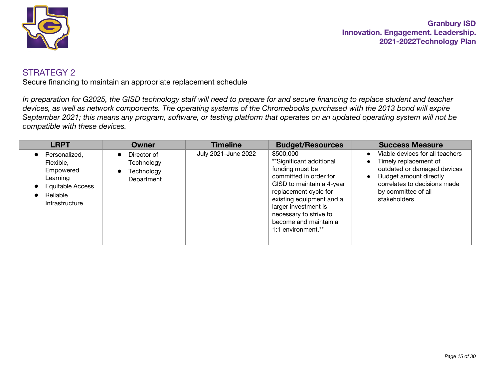

Secure financing to maintain an appropriate replacement schedule

*In preparation for G2025, the GISD technology staff will need to prepare for and secure financing to replace student and teacher devices, as well as network components. The operating systems of the Chromebooks purchased with the 2013 bond will expire September 2021; this means any program, software, or testing platform that operates on an updated operating system will not be compatible with these devices.*

| <b>LRPT</b>                                                                                           | Owner                                                              | <b>Timeline</b>     | <b>Budget/Resources</b>                                                                                                                                                                                                                                               | <b>Success Measure</b>                                                                                                                                                                                |
|-------------------------------------------------------------------------------------------------------|--------------------------------------------------------------------|---------------------|-----------------------------------------------------------------------------------------------------------------------------------------------------------------------------------------------------------------------------------------------------------------------|-------------------------------------------------------------------------------------------------------------------------------------------------------------------------------------------------------|
| Personalized,<br>Flexible.<br>Empowered<br>Learning<br>Equitable Access<br>Reliable<br>Infrastructure | Director of<br>$\bullet$<br>Technology<br>Technology<br>Department | July 2021-June 2022 | \$500,000<br>**Significant additional<br>funding must be<br>committed in order for<br>GISD to maintain a 4-year<br>replacement cycle for<br>existing equipment and a<br>larger investment is<br>necessary to strive to<br>become and maintain a<br>1:1 environment.** | Viable devices for all teachers<br>Timely replacement of<br>outdated or damaged devices<br>Budget amount directly<br>$\bullet$<br>correlates to decisions made<br>by committee of all<br>stakeholders |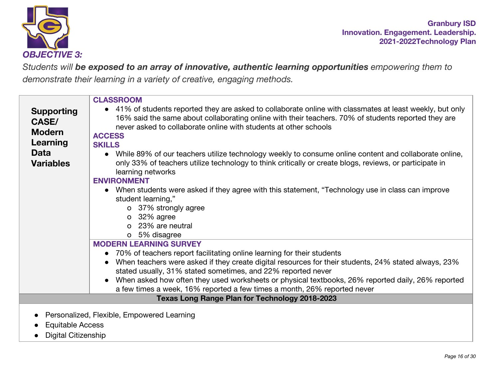

*Students will be exposed to an array of innovative, authentic learning opportunities empowering them to demonstrate their learning in a variety of creative, engaging methods.*

| <b>Supporting</b><br><b>CASE/</b><br><b>Modern</b><br>Learning | <b>CLASSROOM</b><br>• 41% of students reported they are asked to collaborate online with classmates at least weekly, but only<br>16% said the same about collaborating online with their teachers. 70% of students reported they are<br>never asked to collaborate online with students at other schools<br><b>ACCESS</b><br><b>SKILLS</b>                    |
|----------------------------------------------------------------|---------------------------------------------------------------------------------------------------------------------------------------------------------------------------------------------------------------------------------------------------------------------------------------------------------------------------------------------------------------|
| <b>Data</b>                                                    | • While 89% of our teachers utilize technology weekly to consume online content and collaborate online,                                                                                                                                                                                                                                                       |
| <b>Variables</b>                                               | only 33% of teachers utilize technology to think critically or create blogs, reviews, or participate in<br>learning networks<br><b>ENVIRONMENT</b><br>• When students were asked if they agree with this statement, "Technology use in class can improve<br>student learning,"<br>o 37% strongly agree<br>$o$ 32% agree<br>o 23% are neutral<br>o 5% disagree |
|                                                                | <b>MODERN LEARNING SURVEY</b>                                                                                                                                                                                                                                                                                                                                 |
|                                                                | • 70% of teachers report facilitating online learning for their students                                                                                                                                                                                                                                                                                      |
|                                                                | When teachers were asked if they create digital resources for their students, 24% stated always, 23%<br>stated usually, 31% stated sometimes, and 22% reported never                                                                                                                                                                                          |
|                                                                | When asked how often they used worksheets or physical textbooks, 26% reported daily, 26% reported<br>a few times a week, 16% reported a few times a month, 26% reported never                                                                                                                                                                                 |
|                                                                | Texas Long Range Plan for Technology 2018-2023                                                                                                                                                                                                                                                                                                                |
| <b>Equitable Access</b>                                        | Personalized, Flexible, Empowered Learning                                                                                                                                                                                                                                                                                                                    |

● Digital Citizenship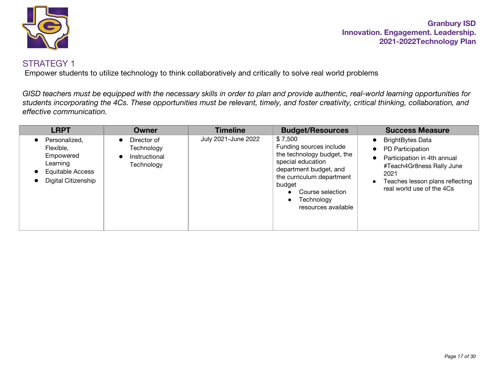

Empower students to utilize technology to think collaboratively and critically to solve real world problems

*GISD teachers must be equipped with the necessary skills in order to plan and provide authentic, real-world learning opportunities for students incorporating the 4Cs. These opportunities must be relevant, timely, and foster creativity, critical thinking, collaboration, and effective communication.*

| <b>LRPT</b>                                                                                    | <b>Owner</b>                                                                       | <b>Timeline</b>     | <b>Budget/Resources</b>                                                                                                                                                                                         | <b>Success Measure</b>                                                                                                                                                          |
|------------------------------------------------------------------------------------------------|------------------------------------------------------------------------------------|---------------------|-----------------------------------------------------------------------------------------------------------------------------------------------------------------------------------------------------------------|---------------------------------------------------------------------------------------------------------------------------------------------------------------------------------|
| Personalized.<br>Flexible.<br>Empowered<br>Learning<br>Equitable Access<br>Digital Citizenship | Director of<br>$\bullet$<br>Technology<br>Instructional<br>$\bullet$<br>Technology | July 2021-June 2022 | \$7,500<br>Funding sources include<br>the technology budget, the<br>special education<br>department budget, and<br>the curriculum department<br>budget<br>Course selection<br>Technology<br>resources available | <b>BrightBytes Data</b><br>PD Participation<br>Participation in 4th annual<br>#Teach4Gr8ness Rally June<br>2021<br>Teaches lesson plans reflecting<br>real world use of the 4Cs |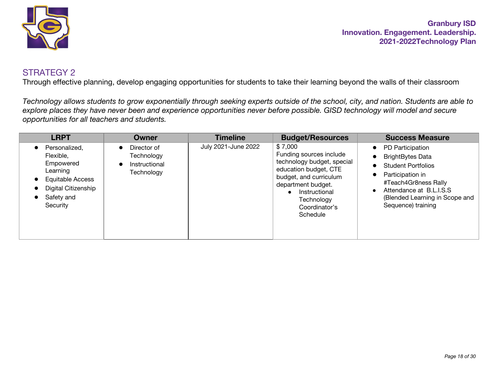

Through effective planning, develop engaging opportunities for students to take their learning beyond the walls of their classroom

*Technology allows students to grow exponentially through seeking experts outside of the school, city, and nation. Students are able to explore places they have never been and experience opportunities never before possible. GISD technology will model and secure opportunities for all teachers and students.*

| <b>LRPT</b>                                                                                                              | <b>Owner</b>                                                          | <b>Timeline</b>     | <b>Budget/Resources</b>                                                                                                                                                                               | <b>Success Measure</b>                                                                                                                                                                                                                      |
|--------------------------------------------------------------------------------------------------------------------------|-----------------------------------------------------------------------|---------------------|-------------------------------------------------------------------------------------------------------------------------------------------------------------------------------------------------------|---------------------------------------------------------------------------------------------------------------------------------------------------------------------------------------------------------------------------------------------|
| Personalized,<br>Flexible.<br>Empowered<br>Learning<br>Equitable Access<br>Digital Citizenship<br>Safety and<br>Security | Director of<br>$\bullet$<br>Technology<br>Instructional<br>Technology | July 2021-June 2022 | \$7,000<br>Funding sources include<br>technology budget, special<br>education budget, CTE<br>budget, and curriculum<br>department budget.<br>Instructional<br>Technology<br>Coordinator's<br>Schedule | PD Participation<br>$\bullet$<br><b>BrightBytes Data</b><br>6<br><b>Student Portfolios</b><br>Participation in<br>6<br>#Teach4Gr8ness Rally<br>Attendance at B.L.I.S.S<br>$\bullet$<br>(Blended Learning in Scope and<br>Sequence) training |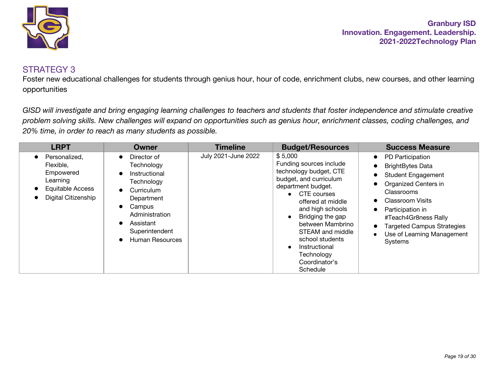

#### STRATEGY 3

Foster new educational challenges for students through genius hour, hour of code, enrichment clubs, new courses, and other learning opportunities

*GISD will investigate and bring engaging learning challenges to teachers and students that foster independence and stimulate creative problem solving skills. New challenges will expand on opportunities such as genius hour, enrichment classes, coding challenges, and 20% time, in order to reach as many students as possible.*

| <b>LRPT</b>                                                                                           | Owner                                                                                                                                                                                                            | <b>Timeline</b>     | <b>Budget/Resources</b>                                                                                                                                                                                                                                                                                           | <b>Success Measure</b>                                                                                                                                                                                                                                                                                     |
|-------------------------------------------------------------------------------------------------------|------------------------------------------------------------------------------------------------------------------------------------------------------------------------------------------------------------------|---------------------|-------------------------------------------------------------------------------------------------------------------------------------------------------------------------------------------------------------------------------------------------------------------------------------------------------------------|------------------------------------------------------------------------------------------------------------------------------------------------------------------------------------------------------------------------------------------------------------------------------------------------------------|
| Personalized,<br>Flexible.<br>Empowered<br>Learning<br><b>Equitable Access</b><br>Digital Citizenship | Director of<br>$\bullet$<br>Technology<br>Instructional<br>$\bullet$<br>Technology<br>Curriculum<br>$\bullet$<br>Department<br>Campus<br>Administration<br>Assistant<br>Superintendent<br><b>Human Resources</b> | July 2021-June 2022 | \$5,000<br>Funding sources include<br>technology budget, CTE<br>budget, and curriculum<br>department budget.<br>• CTE courses<br>offered at middle<br>and high schools<br>Bridging the gap<br>between Mambrino<br>STEAM and middle<br>school students<br>Instructional<br>Technology<br>Coordinator's<br>Schedule | PD Participation<br>$\bullet$<br><b>BrightBytes Data</b><br><b>Student Engagement</b><br>Organized Centers in<br>Classrooms<br><b>Classroom Visits</b><br>Participation in<br>$\bullet$<br>#Teach4Gr8ness Rally<br><b>Targeted Campus Strategies</b><br>Use of Learning Management<br>$\bullet$<br>Systems |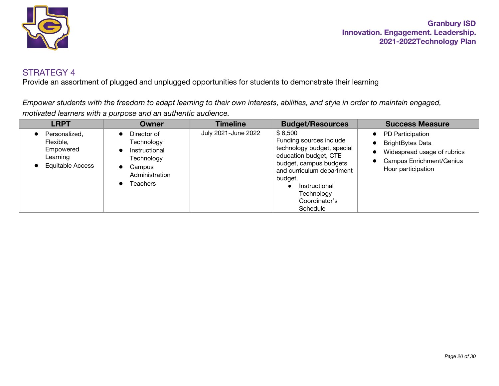

Provide an assortment of plugged and unplugged opportunities for students to demonstrate their learning

*Empower students with the freedom to adapt learning to their own interests, abilities, and style in order to maintain engaged, motivated learners with a purpose and an authentic audience.*

| <b>LRPT</b>                                                             | <b>Owner</b>                                                                                                               | <b>Timeline</b>     | <b>Budget/Resources</b>                                                                                                                                                                                                 | <b>Success Measure</b>                                                                                                                           |
|-------------------------------------------------------------------------|----------------------------------------------------------------------------------------------------------------------------|---------------------|-------------------------------------------------------------------------------------------------------------------------------------------------------------------------------------------------------------------------|--------------------------------------------------------------------------------------------------------------------------------------------------|
| Personalized,<br>Flexible,<br>Empowered<br>Learning<br>Equitable Access | Director of<br>$\bullet$<br>Technology<br>Instructional<br>Technology<br>Campus<br>$\bullet$<br>Administration<br>Teachers | July 2021-June 2022 | \$6,500<br>Funding sources include<br>technology budget, special<br>education budget, CTE<br>budget, campus budgets<br>and curriculum department<br>budget.<br>Instructional<br>Technology<br>Coordinator's<br>Schedule | PD Participation<br>$\bullet$<br><b>BrightBytes Data</b><br>Widespread usage of rubrics<br><b>Campus Enrichment/Genius</b><br>Hour participation |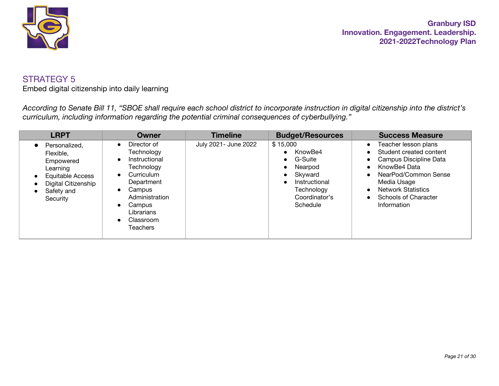

Embed digital citizenship into daily learning

*According to Senate Bill 11, "SBOE shall require each school district to incorporate instruction in digital citizenship into the district's curriculum, including information regarding the potential criminal consequences of cyberbullying."*

| <b>LRPT</b>                                                                                                                     | Owner                                                                                                                                                                                                                                     | <b>Timeline</b>      | <b>Budget/Resources</b>                                                                                                       | <b>Success Measure</b>                                                                                                                                                                                                                                                                          |
|---------------------------------------------------------------------------------------------------------------------------------|-------------------------------------------------------------------------------------------------------------------------------------------------------------------------------------------------------------------------------------------|----------------------|-------------------------------------------------------------------------------------------------------------------------------|-------------------------------------------------------------------------------------------------------------------------------------------------------------------------------------------------------------------------------------------------------------------------------------------------|
| Personalized,<br>Flexible,<br>Empowered<br>Learning<br><b>Equitable Access</b><br>Digital Citizenship<br>Safety and<br>Security | Director of<br>$\bullet$<br>Technology<br>Instructional<br>$\bullet$<br>Technology<br>Curriculum<br>$\bullet$<br>Department<br>Campus<br>$\bullet$<br>Administration<br>Campus<br>$\bullet$<br>Librarians<br>Classroom<br><b>Teachers</b> | July 2021- June 2022 | \$15,000<br>KnowBe4<br>G-Suite<br>$\bullet$<br>Nearpod<br>Skyward<br>Instructional<br>Technology<br>Coordinator's<br>Schedule | Teacher lesson plans<br>$\bullet$<br>Student created content<br>$\bullet$<br>Campus Discipline Data<br>$\bullet$<br>KnowBe4 Data<br>$\bullet$<br>NearPod/Common Sense<br>$\bullet$<br>Media Usage<br><b>Network Statistics</b><br>$\bullet$<br>Schools of Character<br>$\bullet$<br>Information |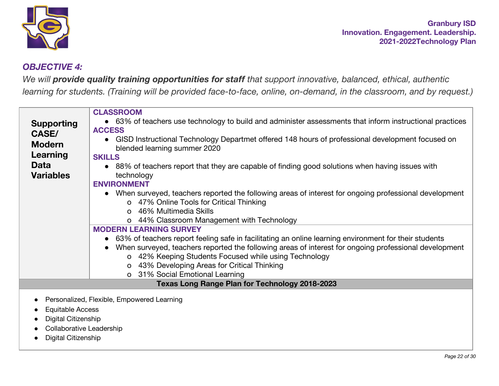

# *OBJECTIVE 4:*

*We will provide quality training opportunities for staff that support innovative, balanced, ethical, authentic* learning for students. (Training will be provided face-to-face, online, on-demand, in the classroom, and by request.)

|                   | <b>CLASSROOM</b>                                                                                         |
|-------------------|----------------------------------------------------------------------------------------------------------|
| <b>Supporting</b> | • 63% of teachers use technology to build and administer assessments that inform instructional practices |
| CASE/             | <b>ACCESS</b>                                                                                            |
| <b>Modern</b>     | GISD Instructional Technology Departmet offered 148 hours of professional development focused on         |
|                   | blended learning summer 2020                                                                             |
| Learning          | <b>SKILLS</b>                                                                                            |
| <b>Data</b>       | • 88% of teachers report that they are capable of finding good solutions when having issues with         |
| <b>Variables</b>  | technology                                                                                               |
|                   | <b>ENVIRONMENT</b>                                                                                       |
|                   | • When surveyed, teachers reported the following areas of interest for ongoing professional development  |
|                   | o 47% Online Tools for Critical Thinking                                                                 |
|                   | o 46% Multimedia Skills                                                                                  |
|                   | o 44% Classroom Management with Technology                                                               |
|                   | <b>MODERN LEARNING SURVEY</b>                                                                            |
|                   | • 63% of teachers report feeling safe in facilitating an online learning environment for their students  |
|                   | When surveyed, teachers reported the following areas of interest for ongoing professional development    |
|                   | o 42% Keeping Students Focused while using Technology                                                    |
|                   | o 43% Developing Areas for Critical Thinking                                                             |
|                   | o 31% Social Emotional Learning                                                                          |
|                   | Texas Long Range Plan for Technology 2018-2023                                                           |
|                   |                                                                                                          |
|                   | Personalized, Flexible, Empowered Learning                                                               |

- Equitable Access
- Digital Citizenship
- Collaborative Leadership
- Digital Citizenship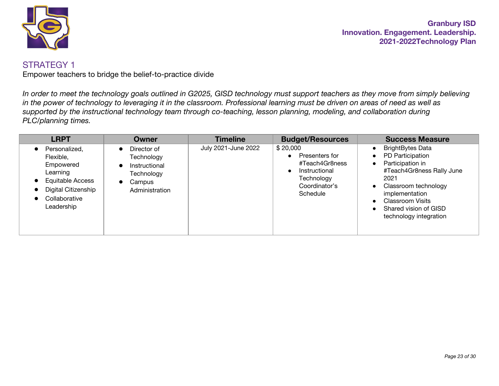

Empower teachers to bridge the belief-to-practice divide

*In order to meet the technology goals outlined in G2025, GISD technology must support teachers as they move from simply believing in the power of technology to leveraging it in the classroom. Professional learning must be driven on areas of need as well as supported by the instructional technology team through co-teaching, lesson planning, modeling, and collaboration during PLC/planning times.*

| <b>LRPT</b>                                                                                                                                                                              | <b>Owner</b>                                                                                                                | <b>Timeline</b>     | <b>Budget/Resources</b>                                                                                  | <b>Success Measure</b>                                                                                                                                                                                                                                                                                     |
|------------------------------------------------------------------------------------------------------------------------------------------------------------------------------------------|-----------------------------------------------------------------------------------------------------------------------------|---------------------|----------------------------------------------------------------------------------------------------------|------------------------------------------------------------------------------------------------------------------------------------------------------------------------------------------------------------------------------------------------------------------------------------------------------------|
| Personalized,<br>$\bullet$<br>Flexible,<br>Empowered<br>Learning<br><b>Equitable Access</b><br>$\bullet$<br>Digital Citizenship<br>$\bullet$<br>Collaborative<br>$\bullet$<br>Leadership | Director of<br>$\bullet$<br>Technology<br>Instructional<br>$\bullet$<br>Technology<br>Campus<br>$\bullet$<br>Administration | July 2021-June 2022 | \$20,000<br>Presenters for<br>#Teach4Gr8ness<br>Instructional<br>Technology<br>Coordinator's<br>Schedule | <b>BrightBytes Data</b><br>$\bullet$<br>PD Participation<br>$\bullet$<br>Participation in<br>$\bullet$<br>#Teach4Gr8ness Rally June<br>2021<br>Classroom technology<br>$\bullet$<br>implementation<br><b>Classroom Visits</b><br>$\bullet$<br>Shared vision of GISD<br>$\bullet$<br>technology integration |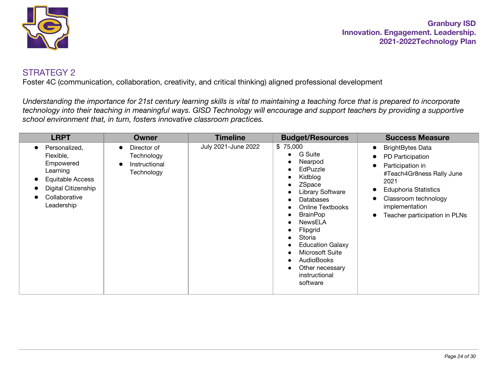

Foster 4C (communication, collaboration, creativity, and critical thinking) aligned professional development

*Understanding the importance for 21st century learning skills is vital to maintaining a teaching force that is prepared to incorporate technology into their teaching in meaningful ways. GISD Technology will encourage and support teachers by providing a supportive school environment that, in turn, fosters innovative classroom practices.*

| <b>LRPT</b>                                                                                                                                | Owner                                                    | <b>Timeline</b>     | <b>Budget/Resources</b>                                                                                                                                                                                                                                                                                   | <b>Success Measure</b>                                                                                                                                                                                                                                                                       |
|--------------------------------------------------------------------------------------------------------------------------------------------|----------------------------------------------------------|---------------------|-----------------------------------------------------------------------------------------------------------------------------------------------------------------------------------------------------------------------------------------------------------------------------------------------------------|----------------------------------------------------------------------------------------------------------------------------------------------------------------------------------------------------------------------------------------------------------------------------------------------|
| Personalized,<br>$\bullet$<br>Flexible,<br>Empowered<br>Learning<br>Equitable Access<br>Digital Citizenship<br>Collaborative<br>Leadership | Director of<br>Technology<br>Instructional<br>Technology | July 2021-June 2022 | \$75,000<br>G Suite<br>Nearpod<br>EdPuzzle<br>Kidblog<br>ZSpace<br><b>Library Software</b><br>Databases<br><b>Online Textbooks</b><br><b>BrainPop</b><br>NewsELA<br>Flipgrid<br>Storia<br><b>Education Galaxy</b><br>Microsoft Suite<br><b>AudioBooks</b><br>Other necessary<br>instructional<br>software | <b>BrightBytes Data</b><br>$\bullet$<br>PD Participation<br>$\bullet$<br>Participation in<br>$\bullet$<br>#Teach4Gr8ness Rally June<br>2021<br><b>Eduphoria Statistics</b><br>$\bullet$<br>Classroom technology<br>$\bullet$<br>implementation<br>Teacher participation in PLNs<br>$\bullet$ |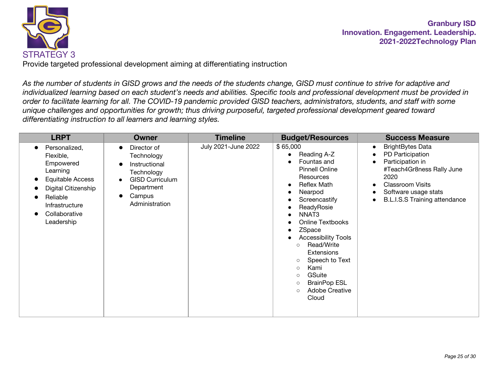

Provide targeted professional development aiming at differentiating instruction

*As the number of students in GISD grows and the needs of the students change, GISD must continue to strive for adaptive and individualized learning based on each student's needs and abilities. Specific tools and professional development must be provided in order to facilitate learning for all. The COVID-19 pandemic provided GISD teachers, administrators, students, and staff with some unique challenges and opportunities for growth; thus driving purposeful, targeted professional development geared toward differentiating instruction to all learners and learning styles.*

| <b>LRPT</b>                                                                                                                                                 | <b>Owner</b>                                                                                                                 | <b>Timeline</b>     | <b>Budget/Resources</b>                                                                                                                                                                                                                                                                                                                                                                                                                                                                                                   | <b>Success Measure</b>                                                                                                                                                                                                                                           |
|-------------------------------------------------------------------------------------------------------------------------------------------------------------|------------------------------------------------------------------------------------------------------------------------------|---------------------|---------------------------------------------------------------------------------------------------------------------------------------------------------------------------------------------------------------------------------------------------------------------------------------------------------------------------------------------------------------------------------------------------------------------------------------------------------------------------------------------------------------------------|------------------------------------------------------------------------------------------------------------------------------------------------------------------------------------------------------------------------------------------------------------------|
| Personalized,<br>Flexible,<br>Empowered<br>Learning<br>Equitable Access<br>Digital Citizenship<br>Reliable<br>Infrastructure<br>Collaborative<br>Leadership | Director of<br>Technology<br>Instructional<br>Technology<br><b>GISD Curriculum</b><br>Department<br>Campus<br>Administration | July 2021-June 2022 | \$65,000<br>Reading A-Z<br>$\bullet$<br>Fountas and<br>$\bullet$<br><b>Pinnell Online</b><br>Resources<br><b>Reflex Math</b><br>$\bullet$<br>Nearpod<br>$\bullet$<br>Screencastify<br>$\bullet$<br>ReadyRosie<br>$\bullet$<br>NNAT3<br>Online Textbooks<br>О<br>ZSpace<br>$\bullet$<br><b>Accessibility Tools</b><br>$\bullet$<br>Read/Write<br>$\circ$<br>Extensions<br>Speech to Text<br>$\circ$<br>Kami<br>$\circ$<br>GSuite<br>$\circ$<br><b>BrainPop ESL</b><br>$\circ$<br><b>Adobe Creative</b><br>$\circ$<br>Cloud | <b>BrightBytes Data</b><br>$\bullet$<br>PD Participation<br>$\bullet$<br>Participation in<br>$\bullet$<br>#Teach4Gr8ness Rally June<br>2020<br><b>Classroom Visits</b><br>Software usage stats<br>$\bullet$<br><b>B.L.I.S.S Training attendance</b><br>$\bullet$ |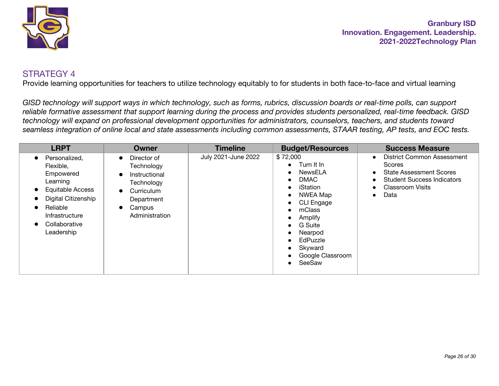

Provide learning opportunities for teachers to utilize technology equitably to for students in both face-to-face and virtual learning

*GISD technology will support ways in which technology, such as forms, rubrics, discussion boards or real-time polls, can support reliable formative assessment that support learning during the process and provides students personalized, real-time feedback. GISD technology will expand on professional development opportunities for administrators, counselors, teachers, and students toward seamless integration of online local and state assessments including common assessments, STAAR testing, AP tests, and EOC tests.*

| <b>LRPT</b>                                                                                                                                                        | Owner                                                                                                                                                                | <b>Timeline</b>     | <b>Budget/Resources</b>                                                                                                                                                                                       | <b>Success Measure</b>                                                                                                                                                                                                        |
|--------------------------------------------------------------------------------------------------------------------------------------------------------------------|----------------------------------------------------------------------------------------------------------------------------------------------------------------------|---------------------|---------------------------------------------------------------------------------------------------------------------------------------------------------------------------------------------------------------|-------------------------------------------------------------------------------------------------------------------------------------------------------------------------------------------------------------------------------|
| Personalized,<br>Flexible.<br>Empowered<br>Learning<br><b>Equitable Access</b><br>Digital Citizenship<br>Reliable<br>Infrastructure<br>Collaborative<br>Leadership | Director of<br>$\bullet$<br>Technology<br>Instructional<br>$\bullet$<br>Technology<br>Curriculum<br>$\bullet$<br>Department<br>Campus<br>$\bullet$<br>Administration | July 2021-June 2022 | \$72,000<br>$\bullet$ Turn It In<br>NewsELA<br><b>DMAC</b><br>iStation<br>NWEA Map<br>CLI Engage<br>mClass<br>Amplify<br>G Suite<br>Nearpod<br>EdPuzzle<br>$\bullet$<br>Skyward<br>Google Classroom<br>SeeSaw | <b>District Common Assessment</b><br>$\bullet$<br><b>Scores</b><br><b>State Assessment Scores</b><br>$\bullet$<br><b>Student Success Indicators</b><br>$\bullet$<br><b>Classroom Visits</b><br>$\bullet$<br>Data<br>$\bullet$ |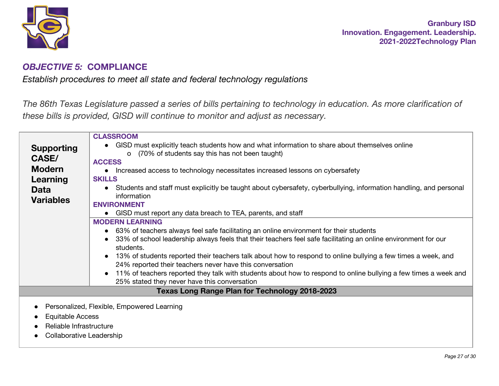

# *OBJECTIVE 5:* **COMPLIANCE**

*Establish procedures to meet all state and federal technology regulations*

The 86th Texas Legislature passed a series of bills pertaining to technology in education. As more clarification of *these bills is provided, GISD will continue to monitor and adjust as necessary.*

|                         | <b>CLASSROOM</b>                                                                                                  |
|-------------------------|-------------------------------------------------------------------------------------------------------------------|
| <b>Supporting</b>       | • GISD must explicitly teach students how and what information to share about themselves online                   |
| <b>CASE/</b>            | (70% of students say this has not been taught)<br>$\circ$                                                         |
|                         | <b>ACCESS</b>                                                                                                     |
| <b>Modern</b>           | Increased access to technology necessitates increased lessons on cybersafety                                      |
| Learning                | <b>SKILLS</b>                                                                                                     |
| <b>Data</b>             | Students and staff must explicitly be taught about cybersafety, cyberbullying, information handling, and personal |
| <b>Variables</b>        | information                                                                                                       |
|                         | <b>ENVIRONMENT</b>                                                                                                |
|                         | • GISD must report any data breach to TEA, parents, and staff                                                     |
|                         | <b>MODERN LEARNING</b>                                                                                            |
|                         | • 63% of teachers always feel safe facilitating an online environment for their students                          |
|                         | 33% of school leadership always feels that their teachers feel safe facilitating an online environment for our    |
|                         | students.                                                                                                         |
|                         | 13% of students reported their teachers talk about how to respond to online bullying a few times a week, and      |
|                         | 24% reported their teachers never have this conversation                                                          |
|                         | 11% of teachers reported they talk with students about how to respond to online bullying a few times a week and   |
|                         | 25% stated they never have this conversation                                                                      |
|                         | <b>Texas Long Range Plan for Technology 2018-2023</b>                                                             |
|                         |                                                                                                                   |
|                         | Personalized, Flexible, Empowered Learning                                                                        |
| Equitable Access        |                                                                                                                   |
| Reliable Infrastructure |                                                                                                                   |
|                         |                                                                                                                   |

● Collaborative Leadership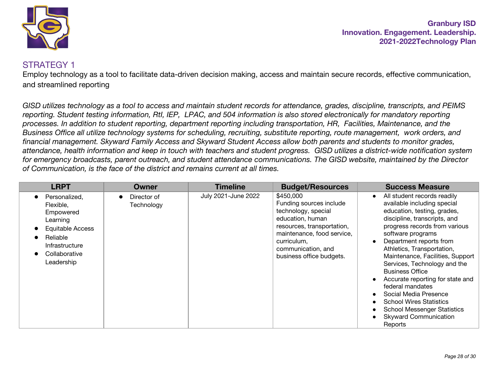

#### STRATEGY 1

Employ technology as a tool to facilitate data-driven decision making, access and maintain secure records, effective communication, and streamlined reporting

*GISD utilizes technology as a tool to access and maintain student records for attendance, grades, discipline, transcripts, and PEIMS reporting. Student testing information, RtI, IEP, LPAC, and 504 information is also stored electronically for mandatory reporting processes. In addition to student reporting, department reporting including transportation, HR, Facilities, Maintenance, and the Business Office all utilize technology systems for scheduling, recruiting, substitute reporting, route management, work orders, and financial management. Skyward Family Access and Skyward Student Access allow both parents and students to monitor grades, attendance, health information and keep in touch with teachers and student progress. GISD utilizes a district-wide notification system for emergency broadcasts, parent outreach, and student attendance communications. The GISD website, maintained by the Director of Communication, is the face of the district and remains current at all times.*

| <b>LRPT</b>                                                                                                                                 | Owner                     | <b>Timeline</b>     | <b>Budget/Resources</b>                                                                                                                                                                                      | <b>Success Measure</b>                                                                                                                                                                                                                                                                                                                                                                                                                                                                                                                                               |
|---------------------------------------------------------------------------------------------------------------------------------------------|---------------------------|---------------------|--------------------------------------------------------------------------------------------------------------------------------------------------------------------------------------------------------------|----------------------------------------------------------------------------------------------------------------------------------------------------------------------------------------------------------------------------------------------------------------------------------------------------------------------------------------------------------------------------------------------------------------------------------------------------------------------------------------------------------------------------------------------------------------------|
| Personalized,<br>Flexible,<br>Empowered<br>Learning<br><b>Equitable Access</b><br>Reliable<br>Infrastructure<br>Collaborative<br>Leadership | Director of<br>Technology | July 2021-June 2022 | \$450,000<br>Funding sources include<br>technology, special<br>education, human<br>resources, transportation,<br>maintenance, food service,<br>curriculum,<br>communication, and<br>business office budgets. | All student records readily<br>$\bullet$<br>available including special<br>education, testing, grades,<br>discipline, transcripts, and<br>progress records from various<br>software programs<br>Department reports from<br>$\bullet$<br>Athletics, Transportation,<br>Maintenance, Facilities, Support<br>Services, Technology and the<br><b>Business Office</b><br>Accurate reporting for state and<br>federal mandates<br>Social Media Presence<br><b>School Wires Statistics</b><br><b>School Messenger Statistics</b><br><b>Skyward Communication</b><br>Reports |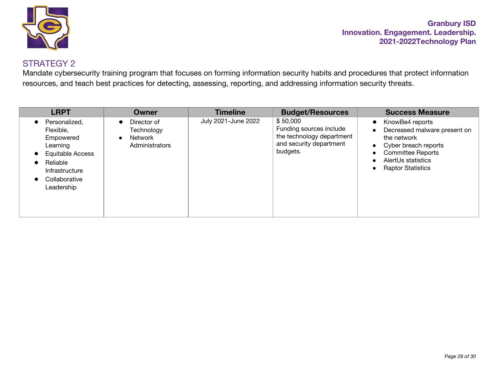

Mandate cybersecurity training program that focuses on forming information security habits and procedures that protect information resources, and teach best practices for detecting, assessing, reporting, and addressing information security threats.

| <b>LRPT</b>                                                                                                                                                    | <b>Owner</b>                                                                     | <b>Timeline</b>     | <b>Budget/Resources</b>                                                                                 | <b>Success Measure</b>                                                                                                                                                                                                                  |
|----------------------------------------------------------------------------------------------------------------------------------------------------------------|----------------------------------------------------------------------------------|---------------------|---------------------------------------------------------------------------------------------------------|-----------------------------------------------------------------------------------------------------------------------------------------------------------------------------------------------------------------------------------------|
| Personalized,<br>Flexible,<br>Empowered<br>Learning<br>Equitable Access<br>$\bullet$<br>Reliable<br>$\bullet$<br>Infrastructure<br>Collaborative<br>Leadership | Director of<br>$\bullet$<br>Technology<br>Network<br>$\bullet$<br>Administrators | July 2021-June 2022 | \$50,000<br>Funding sources include<br>the technology department<br>and security department<br>budgets. | KnowBe4 reports<br>$\bullet$<br>Decreased malware present on<br>$\bullet$<br>the network<br>• Cyber breach reports<br><b>Committee Reports</b><br>$\bullet$<br>AlertUs statistics<br>$\bullet$<br><b>Raptor Statistics</b><br>$\bullet$ |